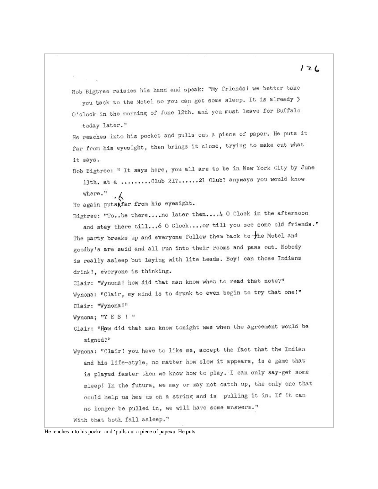Bob Bigtree raisies his hand and speak: "My friends! we better take you back to the Motel so you can get some sleep. It is already 3 O'clock in the morning of June 12th. and you must leave for Buffalo

today later."

He reaches into his pocket and pulls out a piece of paper. He puts it far from his eyesight, then brings it close, trying to make out what it says.

Bob Bigtree: " It says here, you all are to be in New York City by June 13th. at a .........Club 217......21 Club? anyways you would know

```
where."
\cdot
```
He again putsAfar from his eyesight.

Bigtree: "To..be there....no later then....4 0 Clock in the afternoon and stay there till... 6 0 Clock.... or till you see some old friends." The party breaks up and everyone follow them back to the Motel and

goodby's are said and all run into their rooms and pass out. Nobody is really asleep but laying with lite heads. Boy! can those Indians drink!, everyone is thinking.

Clair: "Wynona! how did that man know when to read that note?" Wynona: "Clair, my mind is to drunk to even begin to try that one!" Clair: "Wynona!"

Wynona; "Y E S I "

Clair: "How did that man know tonight was when the agreement would be signed?"

Wynona: "Clair! you have to like me, accept the fact that the Indian and his life-style, no matter how slow it appears, is a game that is played faster then we know how to play. I can only say-get some sleep! In the future, we may or may not catch up, the only one that could help us has us on a string and is pulling it in. If it can no longer be pulled in, we will have some answers." With that both fall asleep."

He reaches into his pocket and 'pulls out a piece of papexu. He puts

## $126$